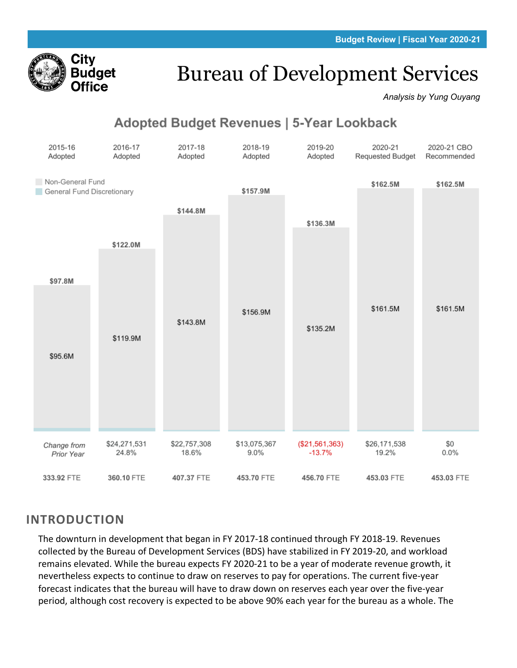

# Bureau of Development Services

*Analysis by Yung Ouyang*

# **Adopted Budget Revenues | 5-Year Lookback**

| 2015-16<br>Adopted                             | 2016-17<br>Adopted    | 2017-18<br>Adopted    | 2018-19<br>Adopted   | 2019-20<br>Adopted         | 2020-21<br>Requested Budget | 2020-21 CBO<br>Recommended |
|------------------------------------------------|-----------------------|-----------------------|----------------------|----------------------------|-----------------------------|----------------------------|
| Non-General Fund<br>General Fund Discretionary |                       |                       | \$157.9M             |                            | \$162.5M                    | \$162.5M                   |
|                                                |                       | \$144.8M              |                      | \$136.3M                   |                             |                            |
|                                                | \$122.0M              |                       |                      |                            |                             |                            |
| \$97.8M                                        |                       |                       |                      |                            |                             |                            |
|                                                |                       | \$143.8M              | \$156.9M             |                            | \$161.5M                    | \$161.5M                   |
|                                                | \$119.9M              |                       |                      | \$135.2M                   |                             |                            |
| \$95.6M                                        |                       |                       |                      |                            |                             |                            |
|                                                |                       |                       |                      |                            |                             |                            |
|                                                |                       |                       |                      |                            |                             |                            |
| Change from<br>Prior Year                      | \$24,271,531<br>24.8% | \$22,757,308<br>18.6% | \$13,075,367<br>9.0% | (\$21,561,363)<br>$-13.7%$ | \$26,171,538<br>19.2%       | \$0<br>0.0%                |
| 333.92 FTE                                     | 360.10 FTE            | 407.37 FTE            | 453.70 FTE           | 456.70 FTE                 | 453.03 FTE                  | 453.03 FTE                 |

## **INTRODUCTION**

The downturn in development that began in FY 2017-18 continued through FY 2018-19. Revenues collected by the Bureau of Development Services (BDS) have stabilized in FY 2019-20, and workload remains elevated. While the bureau expects FY 2020-21 to be a year of moderate revenue growth, it nevertheless expects to continue to draw on reserves to pay for operations. The current five-year forecast indicates that the bureau will have to draw down on reserves each year over the five-year period, although cost recovery is expected to be above 90% each year for the bureau as a whole. The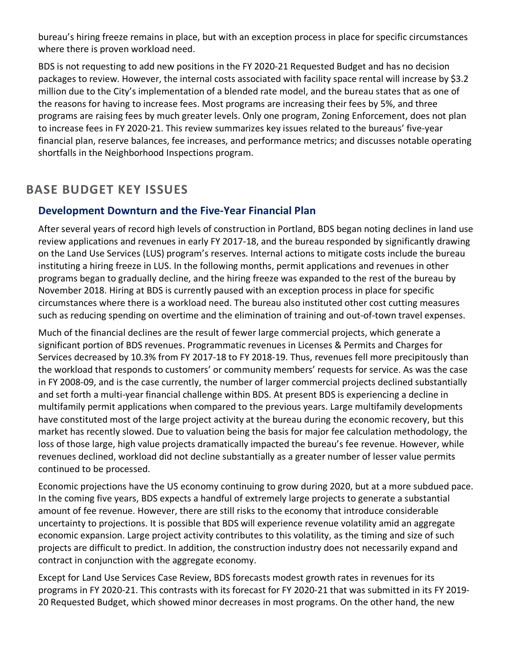bureau's hiring freeze remains in place, but with an exception process in place for specific circumstances where there is proven workload need.

BDS is not requesting to add new positions in the FY 2020-21 Requested Budget and has no decision packages to review. However, the internal costs associated with facility space rental will increase by \$3.2 million due to the City's implementation of a blended rate model, and the bureau states that as one of the reasons for having to increase fees. Most programs are increasing their fees by 5%, and three programs are raising fees by much greater levels. Only one program, Zoning Enforcement, does not plan to increase fees in FY 2020-21. This review summarizes key issues related to the bureaus' five-year financial plan, reserve balances, fee increases, and performance metrics; and discusses notable operating shortfalls in the Neighborhood Inspections program.

# **BASE BUDGET KEY ISSUES**

## **Development Downturn and the Five-Year Financial Plan**

After several years of record high levels of construction in Portland, BDS began noting declines in land use review applications and revenues in early FY 2017-18, and the bureau responded by significantly drawing on the Land Use Services (LUS) program's reserves. Internal actions to mitigate costs include the bureau instituting a hiring freeze in LUS. In the following months, permit applications and revenues in other programs began to gradually decline, and the hiring freeze was expanded to the rest of the bureau by November 2018. Hiring at BDS is currently paused with an exception process in place for specific circumstances where there is a workload need. The bureau also instituted other cost cutting measures such as reducing spending on overtime and the elimination of training and out-of-town travel expenses.

Much of the financial declines are the result of fewer large commercial projects, which generate a significant portion of BDS revenues. Programmatic revenues in Licenses & Permits and Charges for Services decreased by 10.3% from FY 2017-18 to FY 2018-19. Thus, revenues fell more precipitously than the workload that responds to customers' or community members' requests for service. As was the case in FY 2008-09, and is the case currently, the number of larger commercial projects declined substantially and set forth a multi-year financial challenge within BDS. At present BDS is experiencing a decline in multifamily permit applications when compared to the previous years. Large multifamily developments have constituted most of the large project activity at the bureau during the economic recovery, but this market has recently slowed. Due to valuation being the basis for major fee calculation methodology, the loss of those large, high value projects dramatically impacted the bureau's fee revenue. However, while revenues declined, workload did not decline substantially as a greater number of lesser value permits continued to be processed.

Economic projections have the US economy continuing to grow during 2020, but at a more subdued pace. In the coming five years, BDS expects a handful of extremely large projects to generate a substantial amount of fee revenue. However, there are still risks to the economy that introduce considerable uncertainty to projections. It is possible that BDS will experience revenue volatility amid an aggregate economic expansion. Large project activity contributes to this volatility, as the timing and size of such projects are difficult to predict. In addition, the construction industry does not necessarily expand and contract in conjunction with the aggregate economy.

Except for Land Use Services Case Review, BDS forecasts modest growth rates in revenues for its programs in FY 2020-21. This contrasts with its forecast for FY 2020-21 that was submitted in its FY 2019- 20 Requested Budget, which showed minor decreases in most programs. On the other hand, the new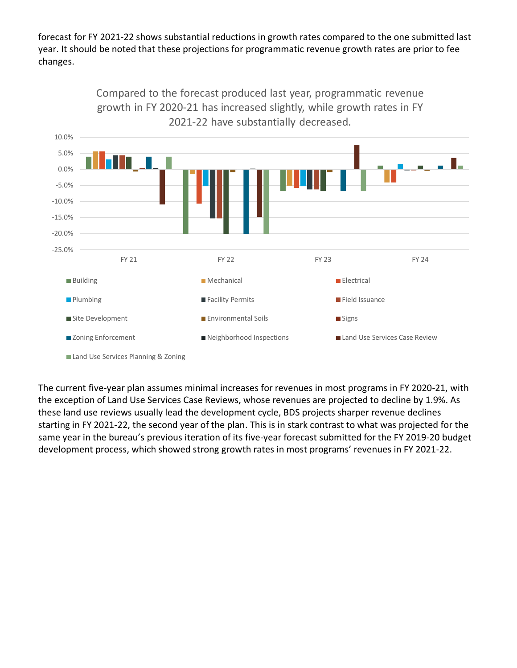forecast for FY 2021-22 shows substantial reductions in growth rates compared to the one submitted last year. It should be noted that these projections for programmatic revenue growth rates are prior to fee changes.



The current five-year plan assumes minimal increases for revenues in most programs in FY 2020-21, with the exception of Land Use Services Case Reviews, whose revenues are projected to decline by 1.9%. As these land use reviews usually lead the development cycle, BDS projects sharper revenue declines starting in FY 2021-22, the second year of the plan. This is in stark contrast to what was projected for the same year in the bureau's previous iteration of its five-year forecast submitted for the FY 2019-20 budget development process, which showed strong growth rates in most programs' revenues in FY 2021-22.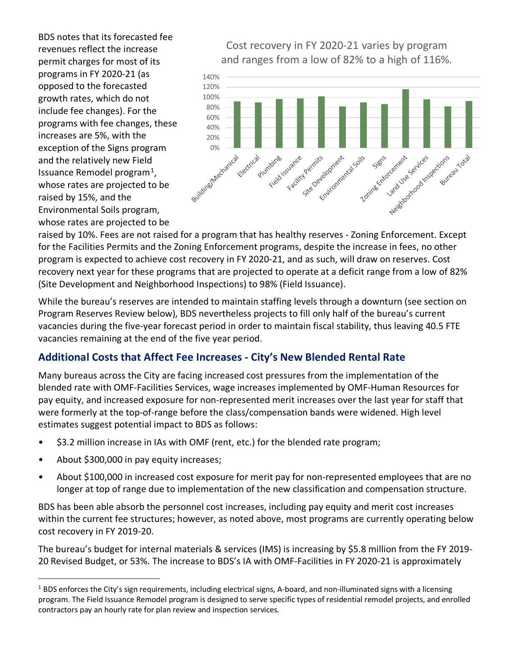BDS notes that its forecasted fee revenues reflect the increase permit charges for most of its programs in FY 2020-21 (as opposed to the forecasted growth rates, which do not include fee changes). For the programs with fee changes, these increases are 5%, with the exception of the Signs program and the relatively new Field Issuance Remodel program<sup>[1](#page-3-0)</sup>, whose rates are projected to be raised by 15%, and the Environmental Soils program, whose rates are projected to be

Cost recovery in FY 2020-21 varies by program and ranges from a low of 82% to a high of 116%.



raised by 10%. Fees are not raised for a program that has healthy reserves - Zoning Enforcement. Except for the Facilities Permits and the Zoning Enforcement programs, despite the increase in fees, no other program is expected to achieve cost recovery in FY 2020-21, and as such, will draw on reserves. Cost recovery next year for these programs that are projected to operate at a deficit range from a low of 82% (Site Development and Neighborhood Inspections) to 98% (Field Issuance).

While the bureau's reserves are intended to maintain staffing levels through a downturn (see section on Program Reserves Review below), BDS nevertheless projects to fill only half of the bureau's current vacancies during the five-year forecast period in order to maintain fiscal stability, thus leaving 40.5 FTE vacancies remaining at the end of the five year period.

### **Additional Costs that Affect Fee Increases - City's New Blended Rental Rate**

Many bureaus across the City are facing increased cost pressures from the implementation of the blended rate with OMF-Facilities Services, wage increases implemented by OMF-Human Resources for pay equity, and increased exposure for non-represented merit increases over the last year for staff that were formerly at the top-of-range before the class/compensation bands were widened. High level estimates suggest potential impact to BDS as follows:

- \$3.2 million increase in IAs with OMF (rent, etc.) for the blended rate program;
- About \$300,000 in pay equity increases;
- About \$100,000 in increased cost exposure for merit pay for non-represented employees that are no longer at top of range due to implementation of the new classification and compensation structure.

BDS has been able absorb the personnel cost increases, including pay equity and merit cost increases within the current fee structures; however, as noted above, most programs are currently operating below cost recovery in FY 2019-20.

The bureau's budget for internal materials & services (IMS) is increasing by \$5.8 million from the FY 2019- 20 Revised Budget, or 53%. The increase to BDS's IA with OMF-Facilities in FY 2020-21 is approximately

<span id="page-3-0"></span><sup>&</sup>lt;sup>1</sup> BDS enforces the City's sign requirements, including electrical signs, A-board, and non-illuminated signs with a licensing program. The Field Issuance Remodel program is designed to serve specific types of residential remodel projects, and enrolled contractors pay an hourly rate for plan review and inspection services.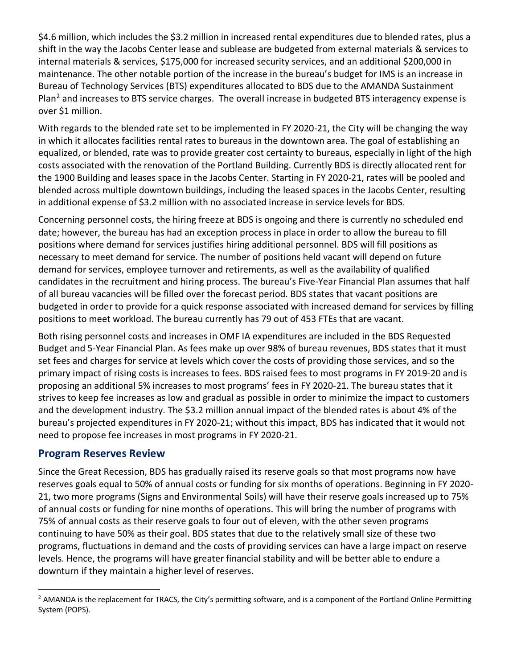\$4.6 million, which includes the \$3.2 million in increased rental expenditures due to blended rates, plus a shift in the way the Jacobs Center lease and sublease are budgeted from external materials & services to internal materials & services, \$175,000 for increased security services, and an additional \$200,000 in maintenance. The other notable portion of the increase in the bureau's budget for IMS is an increase in Bureau of Technology Services (BTS) expenditures allocated to BDS due to the AMANDA Sustainment Plan<sup>[2](#page-4-0)</sup> and increases to BTS service charges. The overall increase in budgeted BTS interagency expense is over \$1 million.

With regards to the blended rate set to be implemented in FY 2020-21, the City will be changing the way in which it allocates facilities rental rates to bureaus in the downtown area. The goal of establishing an equalized, or blended, rate was to provide greater cost certainty to bureaus, especially in light of the high costs associated with the renovation of the Portland Building. Currently BDS is directly allocated rent for the 1900 Building and leases space in the Jacobs Center. Starting in FY 2020-21, rates will be pooled and blended across multiple downtown buildings, including the leased spaces in the Jacobs Center, resulting in additional expense of \$3.2 million with no associated increase in service levels for BDS.

Concerning personnel costs, the hiring freeze at BDS is ongoing and there is currently no scheduled end date; however, the bureau has had an exception process in place in order to allow the bureau to fill positions where demand for services justifies hiring additional personnel. BDS will fill positions as necessary to meet demand for service. The number of positions held vacant will depend on future demand for services, employee turnover and retirements, as well as the availability of qualified candidates in the recruitment and hiring process. The bureau's Five-Year Financial Plan assumes that half of all bureau vacancies will be filled over the forecast period. BDS states that vacant positions are budgeted in order to provide for a quick response associated with increased demand for services by filling positions to meet workload. The bureau currently has 79 out of 453 FTEs that are vacant.

Both rising personnel costs and increases in OMF IA expenditures are included in the BDS Requested Budget and 5-Year Financial Plan. As fees make up over 98% of bureau revenues, BDS states that it must set fees and charges for service at levels which cover the costs of providing those services, and so the primary impact of rising costs is increases to fees. BDS raised fees to most programs in FY 2019-20 and is proposing an additional 5% increases to most programs' fees in FY 2020-21. The bureau states that it strives to keep fee increases as low and gradual as possible in order to minimize the impact to customers and the development industry. The \$3.2 million annual impact of the blended rates is about 4% of the bureau's projected expenditures in FY 2020-21; without this impact, BDS has indicated that it would not need to propose fee increases in most programs in FY 2020-21.

#### **Program Reserves Review**

Since the Great Recession, BDS has gradually raised its reserve goals so that most programs now have reserves goals equal to 50% of annual costs or funding for six months of operations. Beginning in FY 2020- 21, two more programs (Signs and Environmental Soils) will have their reserve goals increased up to 75% of annual costs or funding for nine months of operations. This will bring the number of programs with 75% of annual costs as their reserve goals to four out of eleven, with the other seven programs continuing to have 50% as their goal. BDS states that due to the relatively small size of these two programs, fluctuations in demand and the costs of providing services can have a large impact on reserve levels. Hence, the programs will have greater financial stability and will be better able to endure a downturn if they maintain a higher level of reserves.

<span id="page-4-0"></span> $<sup>2</sup>$  AMANDA is the replacement for TRACS, the City's permitting software, and is a component of the Portland Online Permitting</sup> System (POPS).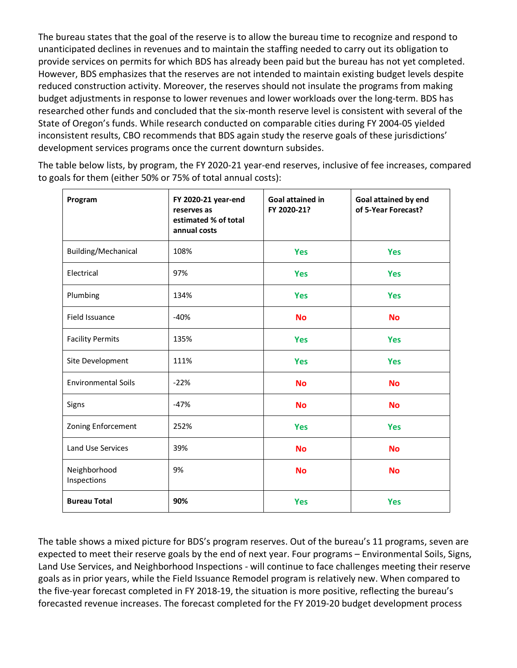The bureau states that the goal of the reserve is to allow the bureau time to recognize and respond to unanticipated declines in revenues and to maintain the staffing needed to carry out its obligation to provide services on permits for which BDS has already been paid but the bureau has not yet completed. However, BDS emphasizes that the reserves are not intended to maintain existing budget levels despite reduced construction activity. Moreover, the reserves should not insulate the programs from making budget adjustments in response to lower revenues and lower workloads over the long-term. BDS has researched other funds and concluded that the six-month reserve level is consistent with several of the State of Oregon's funds. While research conducted on comparable cities during FY 2004-05 yielded inconsistent results, CBO recommends that BDS again study the reserve goals of these jurisdictions' development services programs once the current downturn subsides.

The table below lists, by program, the FY 2020-21 year-end reserves, inclusive of fee increases, compared to goals for them (either 50% or 75% of total annual costs):

| Program                     | FY 2020-21 year-end<br>reserves as<br>estimated % of total<br>annual costs | Goal attained in<br>FY 2020-21? | Goal attained by end<br>of 5-Year Forecast? |  |
|-----------------------------|----------------------------------------------------------------------------|---------------------------------|---------------------------------------------|--|
| Building/Mechanical         | 108%                                                                       | <b>Yes</b>                      | <b>Yes</b>                                  |  |
| Electrical                  | 97%                                                                        | <b>Yes</b>                      | <b>Yes</b>                                  |  |
| Plumbing                    | 134%                                                                       | <b>Yes</b>                      | <b>Yes</b>                                  |  |
| Field Issuance              | $-40%$                                                                     | <b>No</b>                       | <b>No</b>                                   |  |
| <b>Facility Permits</b>     | 135%                                                                       | <b>Yes</b>                      | <b>Yes</b>                                  |  |
| Site Development            | 111%                                                                       | <b>Yes</b>                      | <b>Yes</b>                                  |  |
| <b>Environmental Soils</b>  | $-22%$                                                                     | <b>No</b>                       | <b>No</b>                                   |  |
| Signs                       | $-47%$                                                                     | <b>No</b>                       | <b>No</b>                                   |  |
| Zoning Enforcement          | 252%                                                                       | <b>Yes</b>                      | <b>Yes</b>                                  |  |
| <b>Land Use Services</b>    | 39%                                                                        | <b>No</b>                       | <b>No</b>                                   |  |
| Neighborhood<br>Inspections | 9%                                                                         | <b>No</b>                       | <b>No</b>                                   |  |
| <b>Bureau Total</b>         | 90%                                                                        | <b>Yes</b>                      | <b>Yes</b>                                  |  |

The table shows a mixed picture for BDS's program reserves. Out of the bureau's 11 programs, seven are expected to meet their reserve goals by the end of next year. Four programs – Environmental Soils, Signs, Land Use Services, and Neighborhood Inspections - will continue to face challenges meeting their reserve goals as in prior years, while the Field Issuance Remodel program is relatively new. When compared to the five-year forecast completed in FY 2018-19, the situation is more positive, reflecting the bureau's forecasted revenue increases. The forecast completed for the FY 2019-20 budget development process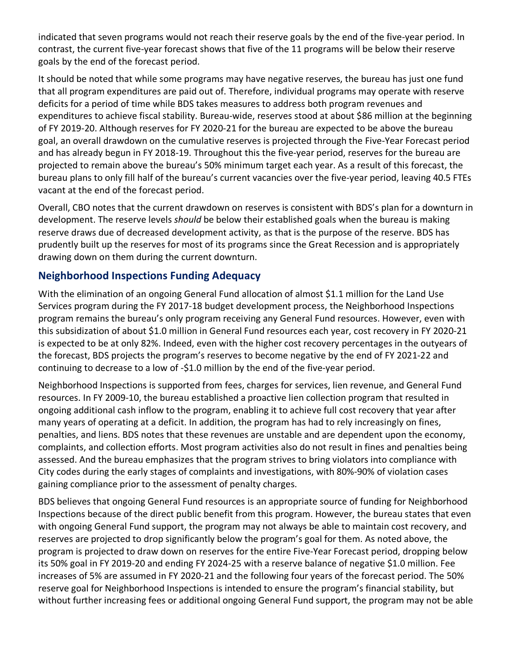indicated that seven programs would not reach their reserve goals by the end of the five-year period. In contrast, the current five-year forecast shows that five of the 11 programs will be below their reserve goals by the end of the forecast period.

It should be noted that while some programs may have negative reserves, the bureau has just one fund that all program expenditures are paid out of. Therefore, individual programs may operate with reserve deficits for a period of time while BDS takes measures to address both program revenues and expenditures to achieve fiscal stability. Bureau-wide, reserves stood at about \$86 million at the beginning of FY 2019-20. Although reserves for FY 2020-21 for the bureau are expected to be above the bureau goal, an overall drawdown on the cumulative reserves is projected through the Five-Year Forecast period and has already begun in FY 2018-19. Throughout this the five-year period, reserves for the bureau are projected to remain above the bureau's 50% minimum target each year. As a result of this forecast, the bureau plans to only fill half of the bureau's current vacancies over the five-year period, leaving 40.5 FTEs vacant at the end of the forecast period.

Overall, CBO notes that the current drawdown on reserves is consistent with BDS's plan for a downturn in development. The reserve levels *should* be below their established goals when the bureau is making reserve draws due of decreased development activity, as that is the purpose of the reserve. BDS has prudently built up the reserves for most of its programs since the Great Recession and is appropriately drawing down on them during the current downturn.

## **Neighborhood Inspections Funding Adequacy**

With the elimination of an ongoing General Fund allocation of almost \$1.1 million for the Land Use Services program during the FY 2017-18 budget development process, the Neighborhood Inspections program remains the bureau's only program receiving any General Fund resources. However, even with this subsidization of about \$1.0 million in General Fund resources each year, cost recovery in FY 2020-21 is expected to be at only 82%. Indeed, even with the higher cost recovery percentages in the outyears of the forecast, BDS projects the program's reserves to become negative by the end of FY 2021-22 and continuing to decrease to a low of -\$1.0 million by the end of the five-year period.

Neighborhood Inspections is supported from fees, charges for services, lien revenue, and General Fund resources. In FY 2009-10, the bureau established a proactive lien collection program that resulted in ongoing additional cash inflow to the program, enabling it to achieve full cost recovery that year after many years of operating at a deficit. In addition, the program has had to rely increasingly on fines, penalties, and liens. BDS notes that these revenues are unstable and are dependent upon the economy, complaints, and collection efforts. Most program activities also do not result in fines and penalties being assessed. And the bureau emphasizes that the program strives to bring violators into compliance with City codes during the early stages of complaints and investigations, with 80%-90% of violation cases gaining compliance prior to the assessment of penalty charges.

BDS believes that ongoing General Fund resources is an appropriate source of funding for Neighborhood Inspections because of the direct public benefit from this program. However, the bureau states that even with ongoing General Fund support, the program may not always be able to maintain cost recovery, and reserves are projected to drop significantly below the program's goal for them. As noted above, the program is projected to draw down on reserves for the entire Five-Year Forecast period, dropping below its 50% goal in FY 2019-20 and ending FY 2024-25 with a reserve balance of negative \$1.0 million. Fee increases of 5% are assumed in FY 2020-21 and the following four years of the forecast period. The 50% reserve goal for Neighborhood Inspections is intended to ensure the program's financial stability, but without further increasing fees or additional ongoing General Fund support, the program may not be able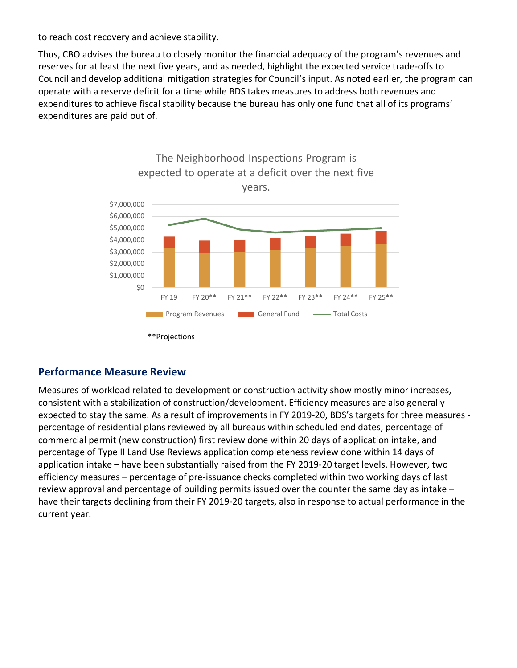to reach cost recovery and achieve stability.

Thus, CBO advises the bureau to closely monitor the financial adequacy of the program's revenues and reserves for at least the next five years, and as needed, highlight the expected service trade-offs to Council and develop additional mitigation strategies for Council's input. As noted earlier, the program can operate with a reserve deficit for a time while BDS takes measures to address both revenues and expenditures to achieve fiscal stability because the bureau has only one fund that all of its programs' expenditures are paid out of.



# The Neighborhood Inspections Program is expected to operate at a deficit over the next five

#### **Performance Measure Review**

Measures of workload related to development or construction activity show mostly minor increases, consistent with a stabilization of construction/development. Efficiency measures are also generally expected to stay the same. As a result of improvements in FY 2019-20, BDS's targets for three measures percentage of residential plans reviewed by all bureaus within scheduled end dates, percentage of commercial permit (new construction) first review done within 20 days of application intake, and percentage of Type II Land Use Reviews application completeness review done within 14 days of application intake – have been substantially raised from the FY 2019-20 target levels. However, two efficiency measures – percentage of pre-issuance checks completed within two working days of last review approval and percentage of building permits issued over the counter the same day as intake – have their targets declining from their FY 2019-20 targets, also in response to actual performance in the current year.